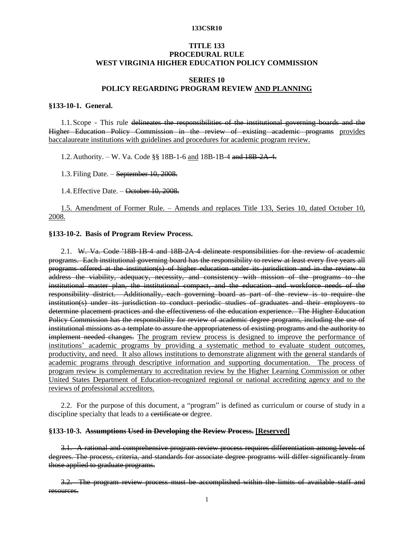# **TITLE 133 PROCEDURAL RULE WEST VIRGINIA HIGHER EDUCATION POLICY COMMISSION**

# **SERIES 10 POLICY REGARDING PROGRAM REVIEW AND PLANNING**

### **§133-10-1. General.**

1.1. Scope - This rule delineates the responsibilities of the institutional governing boards and the Higher Education Policy Commission in the review of existing academic programs provides baccalaureate institutions with guidelines and procedures for academic program review.

1.2.Authority. – W. Va. Code §§ 18B-1-6 and 18B-1B-4 and 18B-2A-4.

1.3.Filing Date. – September 10, 2008.

1.4.Effective Date. – October 10, 2008.

1.5. Amendment of Former Rule. – Amends and replaces Title 133, Series 10, dated October 10, 2008.

### **§133-10-2. Basis of Program Review Process.**

2.1. W. Va. Code '18B-1B-4 and 18B-2A-4 delineate responsibilities for the review of academic programs. Each institutional governing board has the responsibility to review at least every five years all programs offered at the institution(s) of higher education under its jurisdiction and in the review to address the viability, adequacy, necessity, and consistency with mission of the programs to the institutional master plan, the institutional compact, and the education and workforce needs of the responsibility district. Additionally, each governing board as part of the review is to require the institution(s) under its jurisdiction to conduct periodic studies of graduates and their employers to determine placement practices and the effectiveness of the education experience. The Higher Education Policy Commission has the responsibility for review of academic degree programs, including the use of institutional missions as a template to assure the appropriateness of existing programs and the authority to implement needed changes. The program review process is designed to improve the performance of institutions' academic programs by providing a systematic method to evaluate student outcomes, productivity, and need. It also allows institutions to demonstrate alignment with the general standards of academic programs through descriptive information and supporting documentation. The process of program review is complementary to accreditation review by the Higher Learning Commission or other United States Department of Education-recognized regional or national accrediting agency and to the reviews of professional accreditors.

2.2. For the purpose of this document, a "program" is defined as curriculum or course of study in a discipline specialty that leads to a certificate or degree.

# **§133-10-3. Assumptions Used in Developing the Review Process. [Reserved]**

3.1. A rational and comprehensive program review process requires differentiation among levels of degrees. The process, criteria, and standards for associate degree programs will differ significantly from those applied to graduate programs.

3.2. The program review process must be accomplished within the limits of available staff and resources.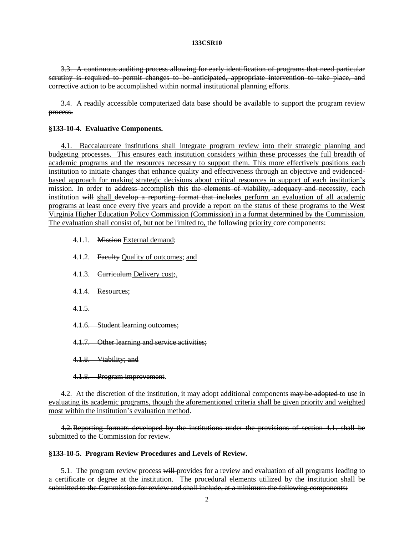3.3. A continuous auditing process allowing for early identification of programs that need particular scrutiny is required to permit changes to be anticipated, appropriate intervention to take place, and corrective action to be accomplished within normal institutional planning efforts.

3.4. A readily accessible computerized data base should be available to support the program review process.

## **§133-10-4. Evaluative Components.**

4.1. Baccalaureate institutions shall integrate program review into their strategic planning and budgeting processes. This ensures each institution considers within these processes the full breadth of academic programs and the resources necessary to support them. This more effectively positions each institution to initiate changes that enhance quality and effectiveness through an objective and evidencedbased approach for making strategic decisions about critical resources in support of each institution's mission. In order to address accomplish this the elements of viability, adequacy and necessity, each institution will shall develop a reporting format that includes perform an evaluation of all academic programs at least once every five years and provide a report on the status of these programs to the West Virginia Higher Education Policy Commission (Commission) in a format determined by the Commission. The evaluation shall consist of, but not be limited to, the following priority core components:

- 4.1.1. Mission External demand;
- 4.1.2. Faculty Quality of outcomes; and
- 4.1.3. Curriculum Delivery cost;
- 4.1.4. Resources;
- $4.1.5...$
- 4.1.6. Student learning outcomes;
- 4.1.7. Other learning and service activities;
- 4.1.8. Viability; and
- 4.1.8. Program improvement.

4.2. At the discretion of the institution, it may adopt additional components may be adopted to use in evaluating its academic programs, though the aforementioned criteria shall be given priority and weighted most within the institution's evaluation method.

4.2.Reporting formats developed by the institutions under the provisions of section 4.1. shall be submitted to the Commission for review.

## **§133-10-5. Program Review Procedures and Levels of Review.**

5.1. The program review process will provides for a review and evaluation of all programs leading to a certificate or degree at the institution. The procedural elements utilized by the institution shall be submitted to the Commission for review and shall include, at a minimum the following components: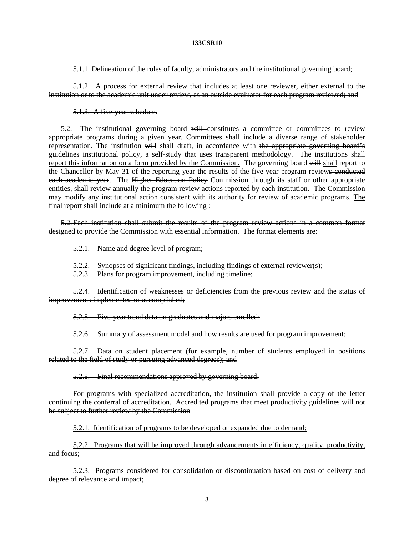5.1.1 Delineation of the roles of faculty, administrators and the institutional governing board;

5.1.2. A process for external review that includes at least one reviewer, either external to the institution or to the academic unit under review, as an outside evaluator for each program reviewed; and

5.1.3. A five-year schedule.

5.2. The institutional governing board will constitutes a committee or committees to review appropriate programs during a given year. Committees shall include a diverse range of stakeholder representation. The institution will shall draft, in accordance with the appropriate governing board's guidelines institutional policy, a self-study that uses transparent methodology. The institutions shall report this information on a form provided by the Commission. The governing board will shall report to the Chancellor by May 31 of the reporting year the results of the five-year program reviews conducted each academic year. The Higher Education Policy Commission through its staff or other appropriate entities, shall review annually the program review actions reported by each institution. The Commission may modify any institutional action consistent with its authority for review of academic programs. The final report shall include at a minimum the following :

5.2.Each institution shall submit the results of the program review actions in a common format designed to provide the Commission with essential information. The format elements are:

5.2.1. Name and degree level of program;

5.2.2. Synopses of significant findings, including findings of external reviewer(s);

5.2.3. Plans for program improvement, including timeline;

5.2.4. Identification of weaknesses or deficiencies from the previous review and the status of improvements implemented or accomplished;

5.2.5. Five-year trend data on graduates and majors enrolled;

5.2.6. Summary of assessment model and how results are used for program improvement;

5.2.7. Data on student placement (for example, number of students employed in positions related to the field of study or pursuing advanced degrees); and

5.2.8. Final recommendations approved by governing board.

For programs with specialized accreditation, the institution shall provide a copy of the letter continuing the conferral of accreditation. Accredited programs that meet productivity guidelines will not be subject to further review by the Commission

5.2.1. Identification of programs to be developed or expanded due to demand;

5.2.2. Programs that will be improved through advancements in efficiency, quality, productivity, and focus;

5.2.3. Programs considered for consolidation or discontinuation based on cost of delivery and degree of relevance and impact;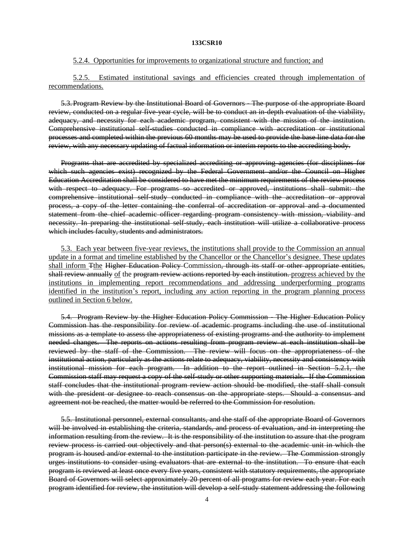### 5.2.4. Opportunities for improvements to organizational structure and function; and

# 5.2.5. Estimated institutional savings and efficiencies created through implementation of recommendations.

5.3.Program Review by the Institutional Board of Governors - The purpose of the appropriate Board review, conducted on a regular five-year cycle, will be to conduct an in-depth evaluation of the viability, adequacy, and necessity for each academic program, consistent with the mission of the institution. Comprehensive institutional self-studies conducted in compliance with accreditation or institutional processes and completed within the previous 60 months may be used to provide the base line data for the review, with any necessary updating of factual information or interim reports to the accrediting body.

Programs that are accredited by specialized accrediting or approving agencies (for disciplines for which such agencies exist) recognized by the Federal Government and/or the Council on Higher Education Accreditation shall be considered to have met the minimum requirements of the review process with respect to adequacy. For programs so accredited or approved, institutions shall submit: the comprehensive institutional self-study conducted in compliance with the accreditation or approval process, a copy of the letter containing the conferral of accreditation or approval and a documented statement from the chief academic officer regarding program consistency with mission, viability and necessity. In preparing the institutional self-study, each institution will utilize a collaborative process which includes faculty, students and administrators.

5.3. Each year between five-year reviews, the institutions shall provide to the Commission an annual update in a format and timeline established by the Chancellor or the Chancellor's designee. These updates shall inform Tthe Higher Education Policy Commission, through its staff or other appropriate entities, shall review annually of the program review actions reported by each institution. progress achieved by the institutions in implementing report recommendations and addressing underperforming programs identified in the institution's report, including any action reporting in the program planning process outlined in Section 6 below.

5.4. Program Review by the Higher Education Policy Commission - The Higher Education Policy Commission has the responsibility for review of academic programs including the use of institutional missions as a template to assess the appropriateness of existing programs and the authority to implement needed changes. The reports on actions resulting from program review at each institution shall be reviewed by the staff of the Commission. The review will focus on the appropriateness of the institutional action, particularly as the actions relate to adequacy, viability, necessity and consistency with institutional mission for each program. In addition to the report outlined in Section 5.2.1, the Commission staff may request a copy of the self-study or other supporting materials. If the Commission staff concludes that the institutional program review action should be modified, the staff shall consult with the president or designee to reach consensus on the appropriate steps. Should a consensus and agreement not be reached, the matter would be referred to the Commission for resolution.

5.5. Institutional personnel, external consultants, and the staff of the appropriate Board of Governors will be involved in establishing the criteria, standards, and process of evaluation, and in interpreting the information resulting from the review. It is the responsibility of the institution to assure that the program review process is carried out objectively and that person(s) external to the academic unit in which the program is housed and/or external to the institution participate in the review. The Commission strongly urges institutions to consider using evaluators that are external to the institution. To ensure that each program is reviewed at least once every five years, consistent with statutory requirements, the appropriate Board of Governors will select approximately 20 percent of all programs for review each year. For each program identified for review, the institution will develop a self-study statement addressing the following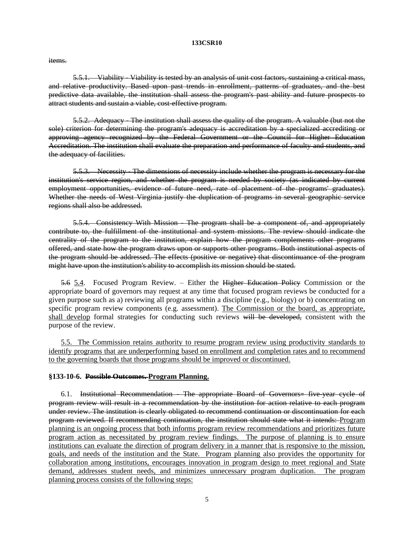items.

5.5.1. Viability - Viability is tested by an analysis of unit cost factors, sustaining a critical mass, and relative productivity. Based upon past trends in enrollment, patterns of graduates, and the best predictive data available, the institution shall assess the program's past ability and future prospects to attract students and sustain a viable, cost-effective program.

5.5.2. Adequacy - The institution shall assess the quality of the program. A valuable (but not the sole) criterion for determining the program's adequacy is accreditation by a specialized accrediting or approving agency recognized by the Federal Government or the Council for Higher Education Accreditation. The institution shall evaluate the preparation and performance of faculty and students, and the adequacy of facilities.

5.5.3. Necessity - The dimensions of necessity include whether the program is necessary for the institution's service region, and whether the program is needed by society (as indicated by current employment opportunities, evidence of future need, rate of placement of the programs' graduates). Whether the needs of West Virginia justify the duplication of programs in several geographic service regions shall also be addressed.

5.5.4. Consistency With Mission - The program shall be a component of, and appropriately contribute to, the fulfillment of the institutional and system missions. The review should indicate the centrality of the program to the institution, explain how the program complements other programs offered, and state how the program draws upon or supports other programs. Both institutional aspects of the program should be addressed. The effects (positive or negative) that discontinuance of the program might have upon the institution's ability to accomplish its mission should be stated.

5.6 5.4. Focused Program Review. – Either the Higher Education Policy Commission or the appropriate board of governors may request at any time that focused program reviews be conducted for a given purpose such as a) reviewing all programs within a discipline (e.g., biology) or b) concentrating on specific program review components (e.g. assessment). The Commission or the board, as appropriate, shall develop formal strategies for conducting such reviews will be developed, consistent with the purpose of the review.

5.5. The Commission retains authority to resume program review using productivity standards to identify programs that are underperforming based on enrollment and completion rates and to recommend to the governing boards that those programs should be improved or discontinued.

# **§133-10-6. Possible Outcomes. Program Planning.**

6.1. Institutional Recommendation - The appropriate Board of Governors= five-year cycle of program review will result in a recommendation by the institution for action relative to each program under review. The institution is clearly obligated to recommend continuation or discontinuation for each program reviewed. If recommending continuation, the institution should state what it intends: Program planning is an ongoing process that both informs program review recommendations and prioritizes future program action as necessitated by program review findings. The purpose of planning is to ensure institutions can evaluate the direction of program delivery in a manner that is responsive to the mission, goals, and needs of the institution and the State. Program planning also provides the opportunity for collaboration among institutions, encourages innovation in program design to meet regional and State demand, addresses student needs, and minimizes unnecessary program duplication. The program planning process consists of the following steps: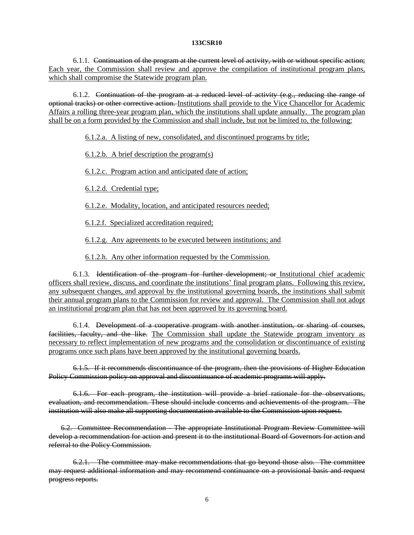6.1.1. Continuation of the program at the current level of activity, with or without specific action; Each year, the Commission shall review and approve the compilation of institutional program plans, which shall compromise the Statewide program plan.

 $6.1.2.$  Continuation of the program at a reduced level of activity  $(e.g.,$  reducing the range of optional tracks) or other corrective action. Institutions shall provide to the Vice Chancellor for Academic Affairs a rolling three-year program plan, which the institutions shall update annually. The program plan shall be on a form provided by the Commission and shall include, but not be limited to, the following:

6.1.2.a. A listing of new, consolidated, and discontinued programs by title;

6.1.2.b. A brief description the program(s)

6.1.2.c. Program action and anticipated date of action;

6.1.2.d. Credential type;

6.1.2.e. Modality, location, and anticipated resources needed;

6.1.2.f. Specialized accreditation required;

6.1.2.g. Any agreements to be executed between institutions; and

6.1.2.h. Any other information requested by the Commission.

6.1.3. Identification of the program for further development; or Institutional chief academic officers shall review, discuss, and coordinate the institutions' final program plans. Following this review, any subsequent changes, and approval by the institutional governing boards, the institutions shall submit their annual program plans to the Commission for review and approval. The Commission shall not adopt an institutional program plan that has not been approved by its governing board.

6.1.4. Development of a cooperative program with another institution, or sharing of courses, facilities, faculty, and the like. The Commission shall update the Statewide program inventory as necessary to reflect implementation of new programs and the consolidation or discontinuance of existing programs once such plans have been approved by the institutional governing boards.

6.1.5. If it recommends discontinuance of the program, then the provisions of Higher Education Policy Commission policy on approval and discontinuance of academic programs will apply.

6.1.6. For each program, the institution will provide a brief rationale for the observations, evaluation, and recommendation. These should include concerns and achievements of the program. The institution will also make all supporting documentation available to the Commission upon request.

6.2. Committee Recommendation - The appropriate Institutional Program Review Committee will develop a recommendation for action and present it to the institutional Board of Governors for action and referral to the Policy Commission.

6.2.1. The committee may make recommendations that go beyond those also. The committee may request additional information and may recommend continuance on a provisional basis and request progress reports.